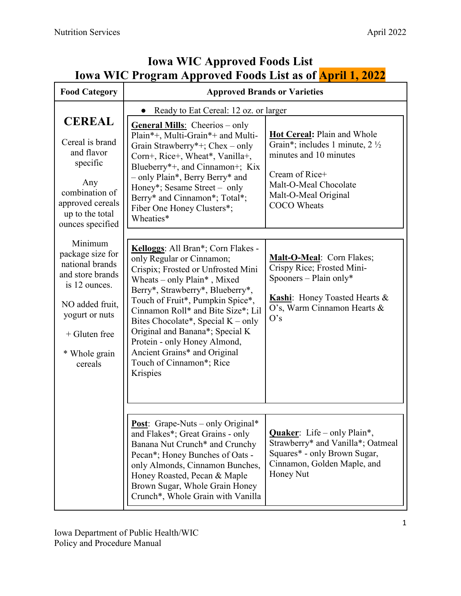| <b>Food Category</b>                                                                                                                                                    |                                                                                                                                                                                                                                                                                                                                                                                                                                       | <b>Approved Brands or Varieties</b>                                                                                                                                                         |
|-------------------------------------------------------------------------------------------------------------------------------------------------------------------------|---------------------------------------------------------------------------------------------------------------------------------------------------------------------------------------------------------------------------------------------------------------------------------------------------------------------------------------------------------------------------------------------------------------------------------------|---------------------------------------------------------------------------------------------------------------------------------------------------------------------------------------------|
|                                                                                                                                                                         | Ready to Eat Cereal: 12 oz. or larger                                                                                                                                                                                                                                                                                                                                                                                                 |                                                                                                                                                                                             |
| <b>CEREAL</b><br>Cereal is brand<br>and flavor<br>specific<br>Any<br>combination of<br>approved cereals<br>up to the total<br>ounces specified                          | <b>General Mills:</b> Cheerios – only<br>Plain*+, Multi-Grain*+ and Multi-<br>Grain Strawberry*+; Chex – only<br>Corn+, Rice+, Wheat*, Vanilla+,<br>Blueberry*+, and Cinnamon+; Kix<br>- only Plain*, Berry Berry* and<br>Honey*; Sesame Street – only<br>Berry* and Cinnamon*; Total*;<br>Fiber One Honey Clusters*;<br>Wheaties*                                                                                                    | Hot Cereal: Plain and Whole<br>Grain*; includes 1 minute, $2\frac{1}{2}$<br>minutes and 10 minutes<br>Cream of Rice+<br>Malt-O-Meal Chocolate<br>Malt-O-Meal Original<br><b>COCO</b> Wheats |
| Minimum<br>package size for<br>national brands<br>and store brands<br>is 12 ounces.<br>NO added fruit,<br>yogurt or nuts<br>$+$ Gluten free<br>* Whole grain<br>cereals | Kelloggs: All Bran*; Corn Flakes -<br>only Regular or Cinnamon;<br>Crispix; Frosted or Unfrosted Mini<br>Wheats - only Plain*, Mixed<br>Berry*, Strawberry*, Blueberry*,<br>Touch of Fruit*, Pumpkin Spice*,<br>Cinnamon Roll* and Bite Size*; Lil<br>Bites Chocolate*, Special $K$ – only<br>Original and Banana*; Special K<br>Protein - only Honey Almond,<br>Ancient Grains* and Original<br>Touch of Cinnamon*; Rice<br>Krispies | Malt-O-Meal: Corn Flakes;<br>Crispy Rice; Frosted Mini-<br>Spooners – Plain only*<br>Kashi: Honey Toasted Hearts &<br>O's, Warm Cinnamon Hearts &<br>O's                                    |
|                                                                                                                                                                         | <b>Post:</b> Grape-Nuts – only Original*<br>and Flakes*; Great Grains - only<br>Banana Nut Crunch* and Crunchy<br>Pecan*; Honey Bunches of Oats -<br>only Almonds, Cinnamon Bunches,<br>Honey Roasted, Pecan & Maple<br>Brown Sugar, Whole Grain Honey<br>Crunch*, Whole Grain with Vanilla                                                                                                                                           | <b>Quaker:</b> Life – only Plain*,<br>Strawberry* and Vanilla*; Oatmeal<br>Squares* - only Brown Sugar,<br>Cinnamon, Golden Maple, and<br>Honey Nut                                         |

## **Iowa WIC Approved Foods List Iowa WIC Program Approved Foods List as of April 1, 2022**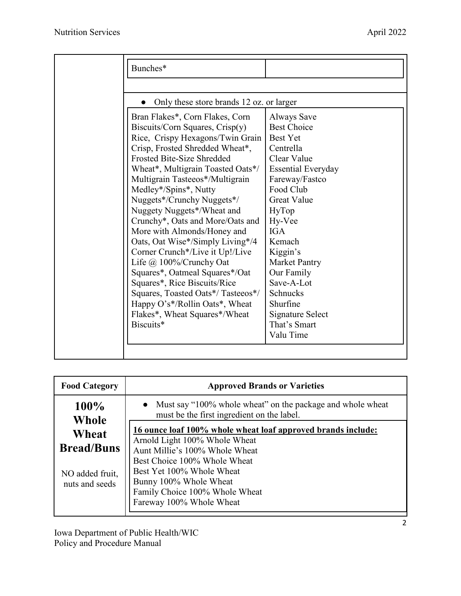| Bunches*                                                                                                                                                                                                                                                                                                                                                                                                                                                                                                                                                                                                                                                                                                |                                                                                                                                                                                                                                                                                                                                           |
|---------------------------------------------------------------------------------------------------------------------------------------------------------------------------------------------------------------------------------------------------------------------------------------------------------------------------------------------------------------------------------------------------------------------------------------------------------------------------------------------------------------------------------------------------------------------------------------------------------------------------------------------------------------------------------------------------------|-------------------------------------------------------------------------------------------------------------------------------------------------------------------------------------------------------------------------------------------------------------------------------------------------------------------------------------------|
|                                                                                                                                                                                                                                                                                                                                                                                                                                                                                                                                                                                                                                                                                                         |                                                                                                                                                                                                                                                                                                                                           |
| Only these store brands 12 oz. or larger                                                                                                                                                                                                                                                                                                                                                                                                                                                                                                                                                                                                                                                                |                                                                                                                                                                                                                                                                                                                                           |
| Bran Flakes*, Corn Flakes, Corn<br>Biscuits/Corn Squares, Crisp(y)<br>Rice, Crispy Hexagons/Twin Grain<br>Crisp, Frosted Shredded Wheat*,<br>Frosted Bite-Size Shredded<br>Wheat*, Multigrain Toasted Oats*/<br>Multigrain Tasteeos*/Multigrain<br>Medley*/Spins*, Nutty<br>Nuggets*/Crunchy Nuggets*/<br>Nuggety Nuggets*/Wheat and<br>Crunchy*, Oats and More/Oats and<br>More with Almonds/Honey and<br>Oats, Oat Wise*/Simply Living*/4<br>Corner Crunch*/Live it Up!/Live<br>Life $\omega$ 100%/Crunchy Oat<br>Squares*, Oatmeal Squares*/Oat<br>Squares*, Rice Biscuits/Rice<br>Squares, Toasted Oats*/Tasteeos*/<br>Happy O's*/Rollin Oats*, Wheat<br>Flakes*, Wheat Squares*/Wheat<br>Biscuits* | Always Save<br><b>Best Choice</b><br><b>Best Yet</b><br>Centrella<br>Clear Value<br><b>Essential Everyday</b><br>Fareway/Fastco<br>Food Club<br><b>Great Value</b><br>HyTop<br>Hy-Vee<br><b>IGA</b><br>Kemach<br>Kiggin's<br><b>Market Pantry</b><br>Our Family<br>Save-A-Lot<br>Schnucks<br>Shurfine<br>Signature Select<br>That's Smart |

| <b>Food Category</b>                          | <b>Approved Brands or Varieties</b>                                                                                                                                                                                                                                                                      |  |
|-----------------------------------------------|----------------------------------------------------------------------------------------------------------------------------------------------------------------------------------------------------------------------------------------------------------------------------------------------------------|--|
| 100%<br>Whole                                 | Must say "100% whole wheat" on the package and whole wheat<br>must be the first ingredient on the label.<br>16 ounce loaf 100% whole wheat loaf approved brands include:<br>Arnold Light 100% Whole Wheat<br>Aunt Millie's 100% Whole Wheat<br>Best Choice 100% Whole Wheat<br>Best Yet 100% Whole Wheat |  |
| Wheat<br><b>Bread/Buns</b><br>NO added fruit, |                                                                                                                                                                                                                                                                                                          |  |
| nuts and seeds                                | Bunny 100% Whole Wheat<br>Family Choice 100% Whole Wheat<br>Fareway 100% Whole Wheat                                                                                                                                                                                                                     |  |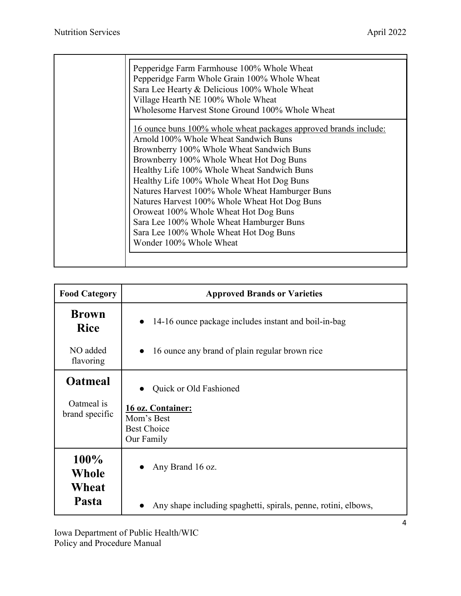| Pepperidge Farm Farmhouse 100% Whole Wheat<br>Pepperidge Farm Whole Grain 100% Whole Wheat<br>Sara Lee Hearty & Delicious 100% Whole Wheat<br>Village Hearth NE 100% Whole Wheat<br>Wholesome Harvest Stone Ground 100% Whole Wheat                                                             |
|-------------------------------------------------------------------------------------------------------------------------------------------------------------------------------------------------------------------------------------------------------------------------------------------------|
| 16 ounce buns 100% whole wheat packages approved brands include:<br>Arnold 100% Whole Wheat Sandwich Buns<br>Brownberry 100% Whole Wheat Sandwich Buns<br>Brownberry 100% Whole Wheat Hot Dog Buns<br>Healthy Life 100% Whole Wheat Sandwich Buns<br>Healthy Life 100% Whole Wheat Hot Dog Buns |
| Natures Harvest 100% Whole Wheat Hamburger Buns<br>Natures Harvest 100% Whole Wheat Hot Dog Buns<br>Oroweat 100% Whole Wheat Hot Dog Buns<br>Sara Lee 100% Whole Wheat Hamburger Buns<br>Sara Lee 100% Whole Wheat Hot Dog Buns<br>Wonder 100% Whole Wheat                                      |
|                                                                                                                                                                                                                                                                                                 |

| <b>Food Category</b>                           | <b>Approved Brands or Varieties</b>                                                           |  |
|------------------------------------------------|-----------------------------------------------------------------------------------------------|--|
| <b>Brown</b><br><b>Rice</b>                    | 14-16 ounce package includes instant and boil-in-bag<br>$\bullet$                             |  |
| NO added<br>flavoring                          | 16 ounce any brand of plain regular brown rice<br>$\bullet$                                   |  |
| <b>Oatmeal</b><br>Oatmeal is<br>brand specific | Quick or Old Fashioned<br>16 oz. Container:<br>Mom's Best<br><b>Best Choice</b><br>Our Family |  |
| 100%<br>Whole<br>Wheat<br>Pasta                | Any Brand 16 oz.<br>Any shape including spaghetti, spirals, penne, rotini, elbows,            |  |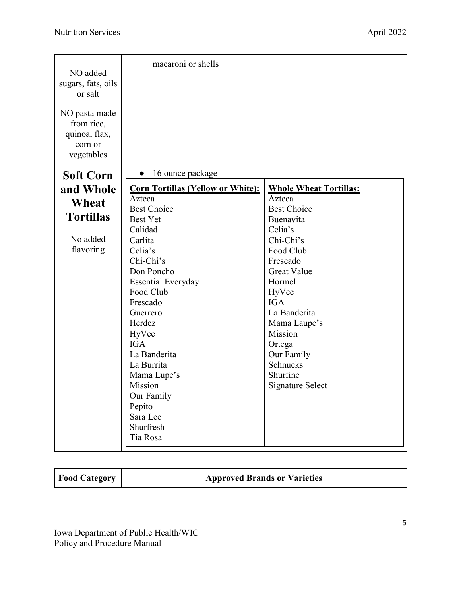| NO added<br>sugars, fats, oils<br>or salt<br>NO pasta made<br>from rice,<br>quinoa, flax,<br>corn or<br>vegetables | macaroni or shells                       |                               |
|--------------------------------------------------------------------------------------------------------------------|------------------------------------------|-------------------------------|
| <b>Soft Corn</b>                                                                                                   | 16 ounce package<br>$\bullet$            |                               |
| and Whole                                                                                                          | <b>Corn Tortillas (Yellow or White):</b> | <b>Whole Wheat Tortillas:</b> |
| Wheat                                                                                                              | Azteca                                   | Azteca                        |
|                                                                                                                    | <b>Best Choice</b>                       | <b>Best Choice</b>            |
| <b>Tortillas</b>                                                                                                   | <b>Best Yet</b>                          | Buenavita                     |
|                                                                                                                    | Calidad                                  | Celia's                       |
| No added                                                                                                           | Carlita                                  | Chi-Chi's                     |
| flavoring                                                                                                          | Celia's                                  | Food Club                     |
|                                                                                                                    | Chi-Chi's                                | Frescado                      |
|                                                                                                                    | Don Poncho                               | <b>Great Value</b>            |
|                                                                                                                    | <b>Essential Everyday</b>                | Hormel                        |
|                                                                                                                    | Food Club                                | HyVee                         |
|                                                                                                                    | Frescado                                 | <b>IGA</b>                    |
|                                                                                                                    | Guerrero                                 | La Banderita                  |
|                                                                                                                    | Herdez                                   | Mama Laupe's                  |
|                                                                                                                    | HyVee                                    | Mission                       |
|                                                                                                                    | <b>IGA</b>                               | Ortega                        |
|                                                                                                                    | La Banderita                             | Our Family                    |
|                                                                                                                    | La Burrita                               | Schnucks                      |
|                                                                                                                    | Mama Lupe's                              | Shurfine                      |
|                                                                                                                    | Mission                                  | <b>Signature Select</b>       |
|                                                                                                                    | Our Family                               |                               |
|                                                                                                                    | Pepito                                   |                               |
|                                                                                                                    | Sara Lee                                 |                               |
|                                                                                                                    | Shurfresh                                |                               |
|                                                                                                                    | Tia Rosa                                 |                               |

**Food Category Approved Brands or Varieties**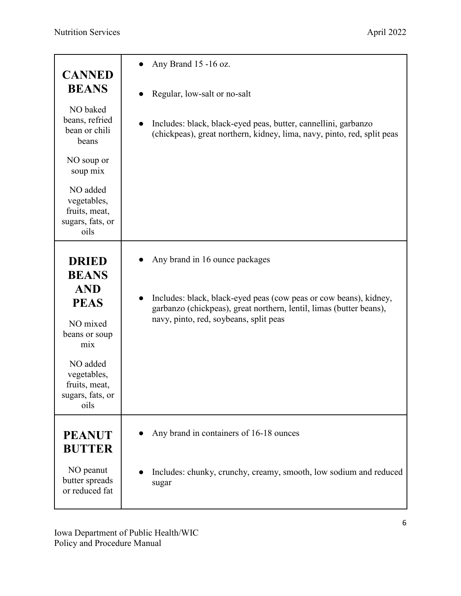| <b>CANNED</b>                                                                                                                                                         | Any Brand 15 -16 oz.                                                                                                                                                                                                 |
|-----------------------------------------------------------------------------------------------------------------------------------------------------------------------|----------------------------------------------------------------------------------------------------------------------------------------------------------------------------------------------------------------------|
| <b>BEANS</b>                                                                                                                                                          | Regular, low-salt or no-salt                                                                                                                                                                                         |
| NO baked<br>beans, refried<br>bean or chili<br>beans                                                                                                                  | Includes: black, black-eyed peas, butter, cannellini, garbanzo<br>(chickpeas), great northern, kidney, lima, navy, pinto, red, split peas                                                                            |
| NO soup or<br>soup mix                                                                                                                                                |                                                                                                                                                                                                                      |
| NO added<br>vegetables,<br>fruits, meat,<br>sugars, fats, or<br>oils                                                                                                  |                                                                                                                                                                                                                      |
| <b>DRIED</b><br><b>BEANS</b><br><b>AND</b><br><b>PEAS</b><br>NO mixed<br>beans or soup<br>mix<br>NO added<br>vegetables,<br>fruits, meat,<br>sugars, fats, or<br>oils | Any brand in 16 ounce packages<br>Includes: black, black-eyed peas (cow peas or cow beans), kidney,<br>garbanzo (chickpeas), great northern, lentil, limas (butter beans),<br>navy, pinto, red, soybeans, split peas |
| <b>PEANUT</b><br><b>BUTTER</b>                                                                                                                                        | Any brand in containers of 16-18 ounces                                                                                                                                                                              |
| NO peanut<br>butter spreads<br>or reduced fat                                                                                                                         | Includes: chunky, crunchy, creamy, smooth, low sodium and reduced<br>sugar                                                                                                                                           |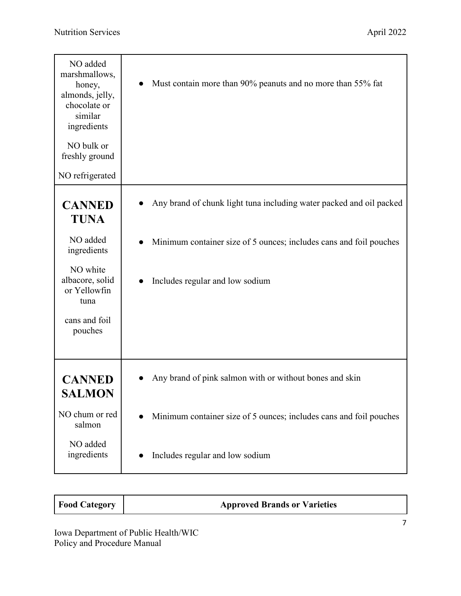| NO added<br>marshmallows,<br>honey,<br>almonds, jelly,<br>chocolate or<br>similar<br>ingredients | Must contain more than 90% peanuts and no more than 55% fat         |
|--------------------------------------------------------------------------------------------------|---------------------------------------------------------------------|
| NO bulk or<br>freshly ground                                                                     |                                                                     |
| NO refrigerated                                                                                  |                                                                     |
| <b>CANNED</b><br><b>TUNA</b>                                                                     | Any brand of chunk light tuna including water packed and oil packed |
| NO added<br>ingredients                                                                          | Minimum container size of 5 ounces; includes cans and foil pouches  |
| NO white<br>albacore, solid<br>or Yellowfin<br>tuna                                              | Includes regular and low sodium                                     |
| cans and foil<br>pouches                                                                         |                                                                     |
| <b>CANNED</b><br><b>SALMON</b>                                                                   | Any brand of pink salmon with or without bones and skin             |
| NO chum or red<br>salmon                                                                         | Minimum container size of 5 ounces; includes cans and foil pouches  |
| NO added<br>ingredients                                                                          | Includes regular and low sodium                                     |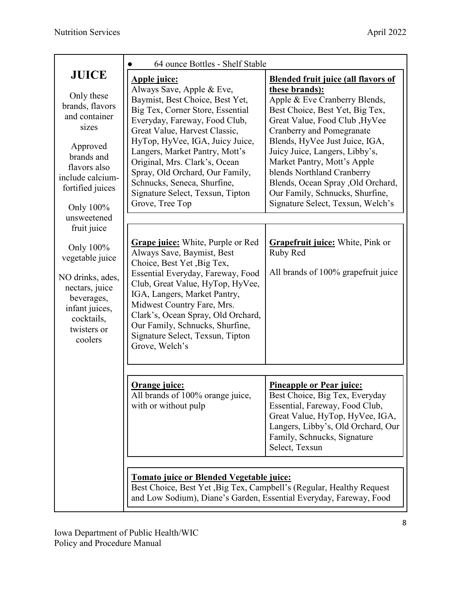|                                                                                                                                                                                       | 64 ounce Bottles - Shelf Stable                                                                                                                                                                                                                                                                                                                                                                                          |                                                                                                                                                                                                                                                                                                                                                                                                                                                       |
|---------------------------------------------------------------------------------------------------------------------------------------------------------------------------------------|--------------------------------------------------------------------------------------------------------------------------------------------------------------------------------------------------------------------------------------------------------------------------------------------------------------------------------------------------------------------------------------------------------------------------|-------------------------------------------------------------------------------------------------------------------------------------------------------------------------------------------------------------------------------------------------------------------------------------------------------------------------------------------------------------------------------------------------------------------------------------------------------|
| <b>JUICE</b><br>Only these<br>brands, flavors<br>and container<br>sizes<br>Approved<br>brands and<br>flavors also<br>include calcium-<br>fortified juices<br>Only 100%<br>unsweetened | <b>Apple juice:</b><br>Always Save, Apple & Eve,<br>Baymist, Best Choice, Best Yet,<br>Big Tex, Corner Store, Essential<br>Everyday, Fareway, Food Club,<br>Great Value, Harvest Classic,<br>HyTop, HyVee, IGA, Juicy Juice,<br>Langers, Market Pantry, Mott's<br>Original, Mrs. Clark's, Ocean<br>Spray, Old Orchard, Our Family,<br>Schnucks, Seneca, Shurfine,<br>Signature Select, Texsun, Tipton<br>Grove, Tree Top | <b>Blended fruit juice (all flavors of</b><br>these brands):<br>Apple & Eve Cranberry Blends,<br>Best Choice, Best Yet, Big Tex,<br>Great Value, Food Club , HyVee<br><b>Cranberry and Pomegranate</b><br>Blends, HyVee Just Juice, IGA,<br>Juicy Juice, Langers, Libby's,<br>Market Pantry, Mott's Apple<br>blends Northland Cranberry<br>Blends, Ocean Spray , Old Orchard,<br>Our Family, Schnucks, Shurfine,<br>Signature Select, Texsun, Welch's |
| fruit juice                                                                                                                                                                           | <b>Grape juice:</b> White, Purple or Red                                                                                                                                                                                                                                                                                                                                                                                 | <b>Grapefruit juice:</b> White, Pink or                                                                                                                                                                                                                                                                                                                                                                                                               |
| Only 100%<br>vegetable juice<br>NO drinks, ades,<br>nectars, juice                                                                                                                    | Always Save, Baymist, Best<br>Choice, Best Yet, Big Tex,<br>Essential Everyday, Fareway, Food<br>Club, Great Value, HyTop, HyVee,                                                                                                                                                                                                                                                                                        | Ruby Red<br>All brands of 100% grapefruit juice                                                                                                                                                                                                                                                                                                                                                                                                       |
| beverages,<br>infant juices,<br>cocktails,<br>twisters or<br>coolers                                                                                                                  | IGA, Langers, Market Pantry,<br>Midwest Country Fare, Mrs.<br>Clark's, Ocean Spray, Old Orchard,<br>Our Family, Schnucks, Shurfine,<br>Signature Select, Texsun, Tipton<br>Grove, Welch's                                                                                                                                                                                                                                |                                                                                                                                                                                                                                                                                                                                                                                                                                                       |
|                                                                                                                                                                                       |                                                                                                                                                                                                                                                                                                                                                                                                                          |                                                                                                                                                                                                                                                                                                                                                                                                                                                       |
|                                                                                                                                                                                       | Orange juice:<br>All brands of 100% orange juice,<br>with or without pulp                                                                                                                                                                                                                                                                                                                                                | <b>Pineapple or Pear juice:</b><br>Best Choice, Big Tex, Everyday<br>Essential, Fareway, Food Club,<br>Great Value, HyTop, HyVee, IGA,<br>Langers, Libby's, Old Orchard, Our<br>Family, Schnucks, Signature<br>Select, Texsun                                                                                                                                                                                                                         |
|                                                                                                                                                                                       |                                                                                                                                                                                                                                                                                                                                                                                                                          |                                                                                                                                                                                                                                                                                                                                                                                                                                                       |
|                                                                                                                                                                                       | Tomato juice or Blended Vegetable juice:<br>Best Choice, Best Yet, Big Tex, Campbell's (Regular, Healthy Request)<br>and Low Sodium), Diane's Garden, Essential Everyday, Fareway, Food                                                                                                                                                                                                                                  |                                                                                                                                                                                                                                                                                                                                                                                                                                                       |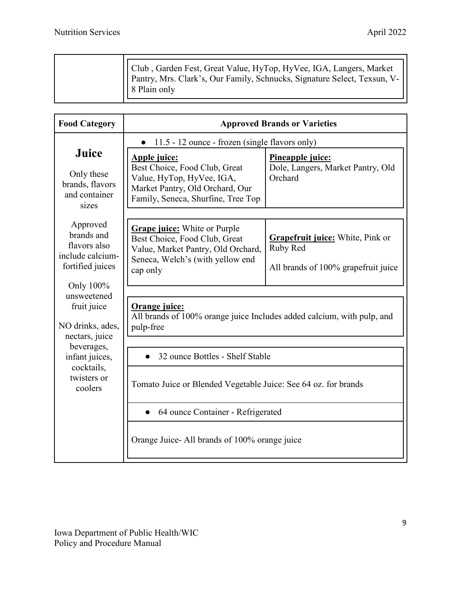|  | Club, Garden Fest, Great Value, HyTop, HyVee, IGA, Langers, Market<br>   Pantry, Mrs. Clark's, Our Family, Schnucks, Signature Select, Texsun, V-   <br>8 Plain only |
|--|----------------------------------------------------------------------------------------------------------------------------------------------------------------------|
|--|----------------------------------------------------------------------------------------------------------------------------------------------------------------------|

| <b>Food Category</b>                                                           |                                                                                                                                                            | <b>Approved Brands or Varieties</b>                                                        |
|--------------------------------------------------------------------------------|------------------------------------------------------------------------------------------------------------------------------------------------------------|--------------------------------------------------------------------------------------------|
|                                                                                | 11.5 - 12 ounce - frozen (single flavors only)<br>$\bullet$                                                                                                |                                                                                            |
| Juice<br>Only these<br>brands, flavors<br>and container<br>sizes               | Apple juice:<br>Best Choice, Food Club, Great<br>Value, HyTop, HyVee, IGA,<br>Market Pantry, Old Orchard, Our<br>Family, Seneca, Shurfine, Tree Top        | Pineapple juice:<br>Dole, Langers, Market Pantry, Old<br>Orchard                           |
| Approved<br>brands and<br>flavors also<br>include calcium-<br>fortified juices | <b>Grape juice:</b> White or Purple<br>Best Choice, Food Club, Great<br>Value, Market Pantry, Old Orchard,<br>Seneca, Welch's (with yellow end<br>cap only | <b>Grapefruit juice:</b> White, Pink or<br>Ruby Red<br>All brands of 100% grapefruit juice |
| Only 100%<br>unsweetened                                                       |                                                                                                                                                            |                                                                                            |
| fruit juice<br>NO drinks, ades,                                                | Orange juice:<br>All brands of 100% orange juice Includes added calcium, with pulp, and<br>pulp-free                                                       |                                                                                            |
| nectars, juice<br>beverages,                                                   | 32 ounce Bottles - Shelf Stable                                                                                                                            |                                                                                            |
| infant juices,<br>cocktails,                                                   |                                                                                                                                                            |                                                                                            |
| twisters or<br>coolers                                                         | Tomato Juice or Blended Vegetable Juice: See 64 oz. for brands                                                                                             |                                                                                            |
|                                                                                | 64 ounce Container - Refrigerated                                                                                                                          |                                                                                            |
|                                                                                | Orange Juice- All brands of 100% orange juice                                                                                                              |                                                                                            |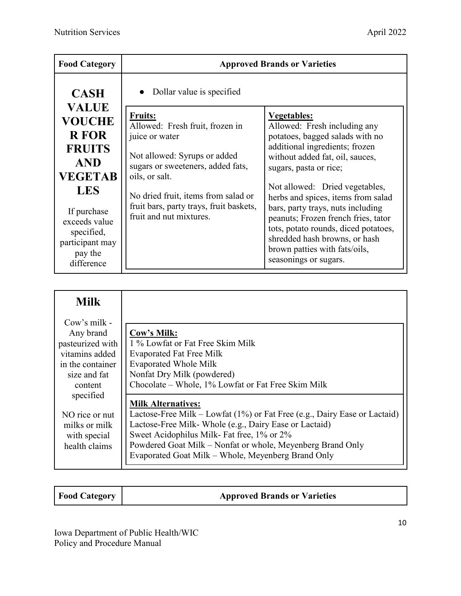| <b>Food Category</b>                                                                                                                       |                                                                                                                                                                                                                                                                                                        | <b>Approved Brands or Varieties</b>                                                                                                                                                                                                                                                                                                      |
|--------------------------------------------------------------------------------------------------------------------------------------------|--------------------------------------------------------------------------------------------------------------------------------------------------------------------------------------------------------------------------------------------------------------------------------------------------------|------------------------------------------------------------------------------------------------------------------------------------------------------------------------------------------------------------------------------------------------------------------------------------------------------------------------------------------|
| <b>CASH</b><br><b>VALUE</b><br><b>VOUCHE</b><br><b>R</b> FOR<br><b>FRUITS</b><br><b>AND</b><br><b>VEGETAB</b><br><b>LES</b><br>If purchase | • Dollar value is specified<br><b>Fruits:</b><br>Allowed: Fresh fruit, frozen in<br>juice or water<br>Not allowed: Syrups or added<br>sugars or sweeteners, added fats,<br>oils, or salt.<br>No dried fruit, items from salad or<br>fruit bars, party trays, fruit baskets,<br>fruit and nut mixtures. | <b>Vegetables:</b><br>Allowed: Fresh including any<br>potatoes, bagged salads with no<br>additional ingredients; frozen<br>without added fat, oil, sauces,<br>sugars, pasta or rice;<br>Not allowed: Dried vegetables,<br>herbs and spices, items from salad<br>bars, party trays, nuts including<br>peanuts; Frozen french fries, tator |
| exceeds value<br>specified,<br>participant may<br>pay the<br>difference                                                                    |                                                                                                                                                                                                                                                                                                        | tots, potato rounds, diced potatoes,<br>shredded hash browns, or hash<br>brown patties with fats/oils,<br>seasonings or sugars.                                                                                                                                                                                                          |

| <b>Milk</b>      |                                                                              |
|------------------|------------------------------------------------------------------------------|
| Cow's milk -     |                                                                              |
| Any brand        | Cow's Milk:                                                                  |
| pasteurized with | 1 % Lowfat or Fat Free Skim Milk                                             |
| vitamins added   | <b>Evaporated Fat Free Milk</b>                                              |
| in the container | <b>Evaporated Whole Milk</b>                                                 |
| size and fat     | Nonfat Dry Milk (powdered)                                                   |
| content          | Chocolate - Whole, 1% Lowfat or Fat Free Skim Milk                           |
| specified        |                                                                              |
|                  | <b>Milk Alternatives:</b>                                                    |
| NO rice or nut   | Lactose-Free Milk – Lowfat $(1\%)$ or Fat Free (e.g., Dairy Ease or Lactaid) |
| milks or milk    | Lactose-Free Milk- Whole (e.g., Dairy Ease or Lactaid)                       |
| with special     | Sweet Acidophilus Milk- Fat free, 1% or 2%                                   |
| health claims    | Powdered Goat Milk – Nonfat or whole, Meyenberg Brand Only                   |
|                  | Evaporated Goat Milk – Whole, Meyenberg Brand Only                           |

| <b>Food Category</b> | <b>Approved Brands or Varieties</b> |
|----------------------|-------------------------------------|
|                      |                                     |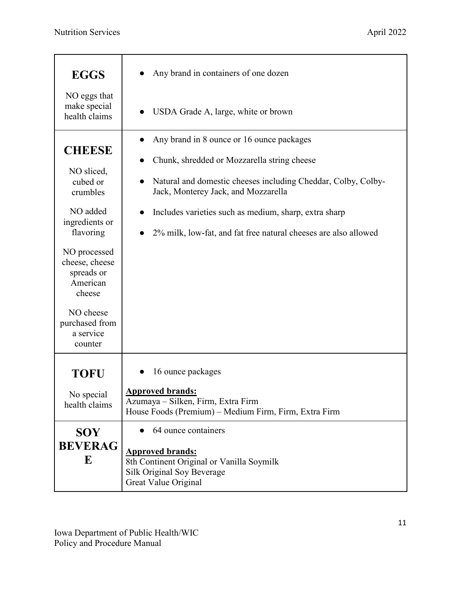| <b>EGGS</b>                                                        | Any brand in containers of one dozen                                                                                       |
|--------------------------------------------------------------------|----------------------------------------------------------------------------------------------------------------------------|
| NO eggs that<br>make special<br>health claims                      | USDA Grade A, large, white or brown<br>$\bullet$                                                                           |
| <b>CHEESE</b>                                                      | Any brand in 8 ounce or 16 ounce packages<br>$\bullet$                                                                     |
|                                                                    | Chunk, shredded or Mozzarella string cheese                                                                                |
| NO sliced,<br>cubed or<br>crumbles                                 | Natural and domestic cheeses including Cheddar, Colby, Colby-<br>Jack, Monterey Jack, and Mozzarella                       |
| NO added                                                           | Includes varieties such as medium, sharp, extra sharp                                                                      |
| ingredients or<br>flavoring                                        | 2% milk, low-fat, and fat free natural cheeses are also allowed                                                            |
| NO processed<br>cheese, cheese<br>spreads or<br>American<br>cheese |                                                                                                                            |
| NO cheese<br>purchased from<br>a service<br>counter                |                                                                                                                            |
| <b>TOFU</b>                                                        | 16 ounce packages                                                                                                          |
| No special<br>health claims                                        | <b>Approved brands:</b><br>Azumaya - Silken, Firm, Extra Firm<br>House Foods (Premium) - Medium Firm, Firm, Extra Firm     |
| <b>SOY</b>                                                         | 64 ounce containers                                                                                                        |
| <b>BEVERAG</b><br>${\bf E}$                                        | <b>Approved brands:</b><br>8th Continent Original or Vanilla Soymilk<br>Silk Original Soy Beverage<br>Great Value Original |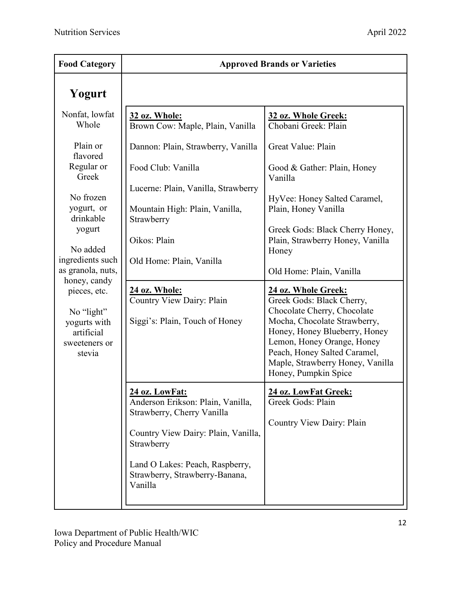| <b>Food Category</b>                                                                                                                                                                                       |                                                                                                                                                                                                                        | <b>Approved Brands or Varieties</b>                                                                                                                                                                                                                                                                                                                                                                                    |
|------------------------------------------------------------------------------------------------------------------------------------------------------------------------------------------------------------|------------------------------------------------------------------------------------------------------------------------------------------------------------------------------------------------------------------------|------------------------------------------------------------------------------------------------------------------------------------------------------------------------------------------------------------------------------------------------------------------------------------------------------------------------------------------------------------------------------------------------------------------------|
| Yogurt                                                                                                                                                                                                     |                                                                                                                                                                                                                        |                                                                                                                                                                                                                                                                                                                                                                                                                        |
| Nonfat, lowfat<br>Whole                                                                                                                                                                                    | 32 oz. Whole:<br>Brown Cow: Maple, Plain, Vanilla                                                                                                                                                                      | 32 oz. Whole Greek:<br>Chobani Greek: Plain                                                                                                                                                                                                                                                                                                                                                                            |
| Plain or<br>flavored                                                                                                                                                                                       | Dannon: Plain, Strawberry, Vanilla                                                                                                                                                                                     | Great Value: Plain                                                                                                                                                                                                                                                                                                                                                                                                     |
| Regular or<br>Greek                                                                                                                                                                                        | Food Club: Vanilla                                                                                                                                                                                                     | Good & Gather: Plain, Honey<br>Vanilla                                                                                                                                                                                                                                                                                                                                                                                 |
| No frozen<br>yogurt, or<br>drinkable<br>yogurt<br>No added<br>ingredients such<br>as granola, nuts,<br>honey, candy<br>pieces, etc.<br>No "light"<br>yogurts with<br>artificial<br>sweeteners or<br>stevia | Lucerne: Plain, Vanilla, Strawberry<br>Mountain High: Plain, Vanilla,<br>Strawberry<br>Oikos: Plain<br>Old Home: Plain, Vanilla<br><b>24 oz. Whole:</b><br>Country View Dairy: Plain<br>Siggi's: Plain, Touch of Honey | HyVee: Honey Salted Caramel,<br>Plain, Honey Vanilla<br>Greek Gods: Black Cherry Honey,<br>Plain, Strawberry Honey, Vanilla<br>Honey<br>Old Home: Plain, Vanilla<br>24 oz. Whole Greek:<br>Greek Gods: Black Cherry,<br>Chocolate Cherry, Chocolate<br>Mocha, Chocolate Strawberry,<br>Honey, Honey Blueberry, Honey<br>Lemon, Honey Orange, Honey<br>Peach, Honey Salted Caramel,<br>Maple, Strawberry Honey, Vanilla |
|                                                                                                                                                                                                            | 24 oz. LowFat:<br>Anderson Erikson: Plain, Vanilla,<br>Strawberry, Cherry Vanilla<br>Country View Dairy: Plain, Vanilla,<br>Strawberry<br>Land O Lakes: Peach, Raspberry,<br>Strawberry, Strawberry-Banana,<br>Vanilla | Honey, Pumpkin Spice<br>24 oz. LowFat Greek:<br>Greek Gods: Plain<br>Country View Dairy: Plain                                                                                                                                                                                                                                                                                                                         |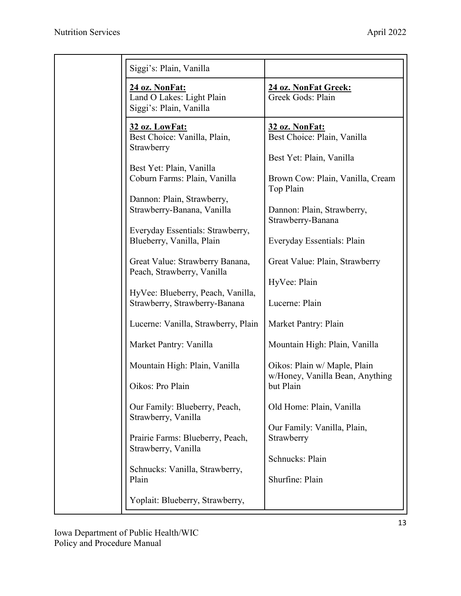| Siggi's: Plain, Vanilla                                                |                                                                              |
|------------------------------------------------------------------------|------------------------------------------------------------------------------|
| 24 oz. NonFat:<br>Land O Lakes: Light Plain<br>Siggi's: Plain, Vanilla | 24 oz. NonFat Greek:<br>Greek Gods: Plain                                    |
| 32 oz. LowFat:<br>Best Choice: Vanilla, Plain,<br>Strawberry           | 32 oz. NonFat:<br>Best Choice: Plain, Vanilla<br>Best Yet: Plain, Vanilla    |
| Best Yet: Plain, Vanilla<br>Coburn Farms: Plain, Vanilla               | Brown Cow: Plain, Vanilla, Cream<br>Top Plain                                |
| Dannon: Plain, Strawberry,<br>Strawberry-Banana, Vanilla               | Dannon: Plain, Strawberry,<br>Strawberry-Banana                              |
| Everyday Essentials: Strawberry,<br>Blueberry, Vanilla, Plain          | Everyday Essentials: Plain                                                   |
| Great Value: Strawberry Banana,<br>Peach, Strawberry, Vanilla          | Great Value: Plain, Strawberry                                               |
| HyVee: Blueberry, Peach, Vanilla,<br>Strawberry, Strawberry-Banana     | HyVee: Plain<br>Lucerne: Plain                                               |
| Lucerne: Vanilla, Strawberry, Plain                                    | Market Pantry: Plain                                                         |
| Market Pantry: Vanilla                                                 | Mountain High: Plain, Vanilla                                                |
| Mountain High: Plain, Vanilla<br>Oikos: Pro Plain                      | Oikos: Plain w/ Maple, Plain<br>w/Honey, Vanilla Bean, Anything<br>but Plain |
| Our Family: Blueberry, Peach,<br>Strawberry, Vanilla                   | Old Home: Plain, Vanilla                                                     |
| Prairie Farms: Blueberry, Peach,<br>Strawberry, Vanilla                | Our Family: Vanilla, Plain,<br>Strawberry                                    |
| Schnucks: Vanilla, Strawberry,<br>Plain                                | Schnucks: Plain<br>Shurfine: Plain                                           |
| Yoplait: Blueberry, Strawberry,                                        |                                                                              |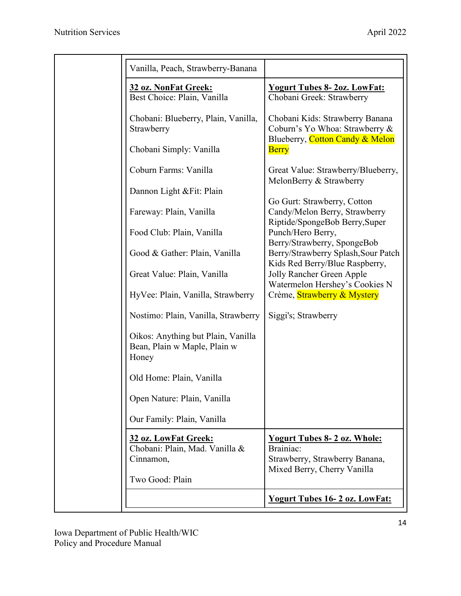| Vanilla, Peach, Strawberry-Banana                                                      |                                                                                                                  |
|----------------------------------------------------------------------------------------|------------------------------------------------------------------------------------------------------------------|
| 32 oz. NonFat Greek:<br>Best Choice: Plain, Vanilla                                    | <b>Yogurt Tubes 8-20z. LowFat:</b><br>Chobani Greek: Strawberry                                                  |
| Chobani: Blueberry, Plain, Vanilla,<br>Strawberry                                      | Chobani Kids: Strawberry Banana<br>Coburn's Yo Whoa: Strawberry &                                                |
| Chobani Simply: Vanilla                                                                | Blueberry, Cotton Candy & Melon<br><b>Berry</b>                                                                  |
| Coburn Farms: Vanilla                                                                  | Great Value: Strawberry/Blueberry,<br>MelonBerry & Strawberry                                                    |
| Dannon Light & Fit: Plain                                                              |                                                                                                                  |
| Fareway: Plain, Vanilla                                                                | Go Gurt: Strawberry, Cotton<br>Candy/Melon Berry, Strawberry<br>Riptide/SpongeBob Berry, Super                   |
| Food Club: Plain, Vanilla                                                              | Punch/Hero Berry,<br>Berry/Strawberry, SpongeBob                                                                 |
| Good & Gather: Plain, Vanilla                                                          | Berry/Strawberry Splash, Sour Patch<br>Kids Red Berry/Blue Raspberry,                                            |
| Great Value: Plain, Vanilla                                                            | Jolly Rancher Green Apple<br>Watermelon Hershey's Cookies N                                                      |
| HyVee: Plain, Vanilla, Strawberry                                                      | Crème, Strawberry & Mystery                                                                                      |
| Nostimo: Plain, Vanilla, Strawberry                                                    | Siggi's; Strawberry                                                                                              |
| Oikos: Anything but Plain, Vanilla<br>Bean, Plain w Maple, Plain w<br>Honey            |                                                                                                                  |
| Old Home: Plain, Vanilla                                                               |                                                                                                                  |
| Open Nature: Plain, Vanilla                                                            |                                                                                                                  |
| Our Family: Plain, Vanilla                                                             |                                                                                                                  |
| 32 oz. LowFat Greek:<br>Chobani: Plain, Mad. Vanilla &<br>Cinnamon,<br>Two Good: Plain | <b>Yogurt Tubes 8-2 oz. Whole:</b><br>Brainiac:<br>Strawberry, Strawberry Banana,<br>Mixed Berry, Cherry Vanilla |
|                                                                                        | <b>Yogurt Tubes 16-2 oz. LowFat:</b>                                                                             |
|                                                                                        |                                                                                                                  |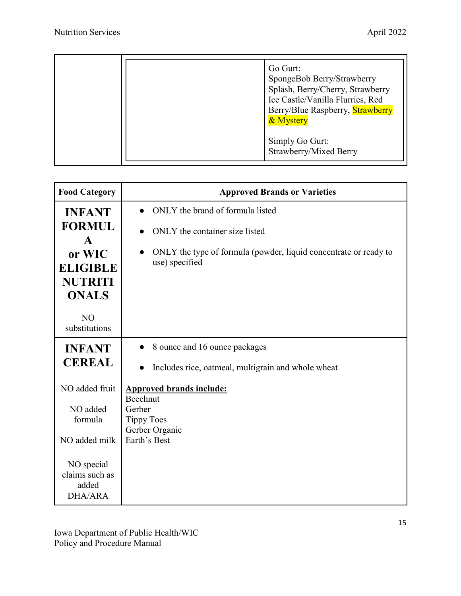| Ice Castle/Vanilla Flurries, Red<br>Berry/Blue Raspberry, Strawberry<br>& Mystery<br>Simply Go Gurt:<br>Strawberry/Mixed Berry |
|--------------------------------------------------------------------------------------------------------------------------------|
|--------------------------------------------------------------------------------------------------------------------------------|

| <b>Food Category</b>                                        | <b>Approved Brands or Varieties</b>                                                |
|-------------------------------------------------------------|------------------------------------------------------------------------------------|
| <b>INFANT</b>                                               | ONLY the brand of formula listed                                                   |
| <b>FORMUL</b><br>$\mathbf{A}$                               | ONLY the container size listed                                                     |
| or WIC<br><b>ELIGIBLE</b><br><b>NUTRITI</b><br><b>ONALS</b> | ONLY the type of formula (powder, liquid concentrate or ready to<br>use) specified |
| N <sub>O</sub><br>substitutions                             |                                                                                    |
| <b>INFANT</b>                                               | 8 ounce and 16 ounce packages<br>$\bullet$                                         |
| <b>CEREAL</b>                                               | Includes rice, oatmeal, multigrain and whole wheat                                 |
| NO added fruit                                              | <b>Approved brands include:</b><br>Beechnut                                        |
| NO added                                                    | Gerber                                                                             |
| formula                                                     | <b>Tippy Toes</b>                                                                  |
|                                                             | Gerber Organic                                                                     |
| NO added milk                                               | Earth's Best                                                                       |
| NO special<br>claims such as<br>added<br>DHA/ARA            |                                                                                    |